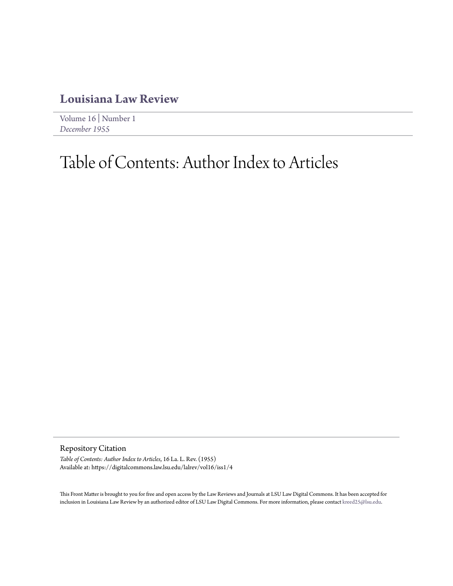## **[Louisiana Law Review](https://digitalcommons.law.lsu.edu/lalrev)**

[Volume 16](https://digitalcommons.law.lsu.edu/lalrev/vol16) | [Number 1](https://digitalcommons.law.lsu.edu/lalrev/vol16/iss1) *[December 1955](https://digitalcommons.law.lsu.edu/lalrev/vol16/iss1)*

## Table of Contents: Author Index to Articles

Repository Citation

*Table of Contents: Author Index to Articles*, 16 La. L. Rev. (1955) Available at: https://digitalcommons.law.lsu.edu/lalrev/vol16/iss1/4

This Front Matter is brought to you for free and open access by the Law Reviews and Journals at LSU Law Digital Commons. It has been accepted for inclusion in Louisiana Law Review by an authorized editor of LSU Law Digital Commons. For more information, please contact [kreed25@lsu.edu](mailto:kreed25@lsu.edu).